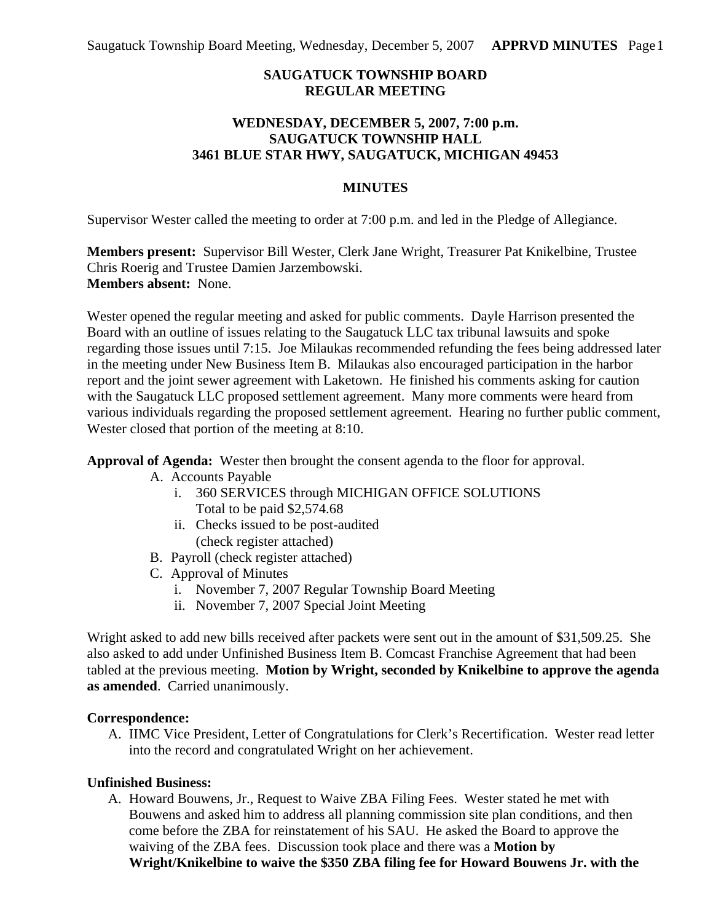# **SAUGATUCK TOWNSHIP BOARD REGULAR MEETING**

## **WEDNESDAY, DECEMBER 5, 2007, 7:00 p.m. SAUGATUCK TOWNSHIP HALL 3461 BLUE STAR HWY, SAUGATUCK, MICHIGAN 49453**

## **MINUTES**

Supervisor Wester called the meeting to order at 7:00 p.m. and led in the Pledge of Allegiance.

**Members present:** Supervisor Bill Wester, Clerk Jane Wright, Treasurer Pat Knikelbine, Trustee Chris Roerig and Trustee Damien Jarzembowski. **Members absent:** None.

Wester opened the regular meeting and asked for public comments. Dayle Harrison presented the Board with an outline of issues relating to the Saugatuck LLC tax tribunal lawsuits and spoke regarding those issues until 7:15. Joe Milaukas recommended refunding the fees being addressed later in the meeting under New Business Item B. Milaukas also encouraged participation in the harbor report and the joint sewer agreement with Laketown. He finished his comments asking for caution with the Saugatuck LLC proposed settlement agreement. Many more comments were heard from various individuals regarding the proposed settlement agreement. Hearing no further public comment, Wester closed that portion of the meeting at 8:10.

**Approval of Agenda:** Wester then brought the consent agenda to the floor for approval.

- A. Accounts Payable
	- i. 360 SERVICES through MICHIGAN OFFICE SOLUTIONS Total to be paid \$2,574.68
	- ii. Checks issued to be post-audited (check register attached)
- B. Payroll (check register attached)
- C. Approval of Minutes
	- i. November 7, 2007 Regular Township Board Meeting
	- ii. November 7, 2007 Special Joint Meeting

Wright asked to add new bills received after packets were sent out in the amount of \$31,509.25. She also asked to add under Unfinished Business Item B. Comcast Franchise Agreement that had been tabled at the previous meeting. **Motion by Wright, seconded by Knikelbine to approve the agenda as amended**. Carried unanimously.

#### **Correspondence:**

A. IIMC Vice President, Letter of Congratulations for Clerk's Recertification. Wester read letter into the record and congratulated Wright on her achievement.

#### **Unfinished Business:**

A. Howard Bouwens, Jr., Request to Waive ZBA Filing Fees. Wester stated he met with Bouwens and asked him to address all planning commission site plan conditions, and then come before the ZBA for reinstatement of his SAU. He asked the Board to approve the waiving of the ZBA fees. Discussion took place and there was a **Motion by Wright/Knikelbine to waive the \$350 ZBA filing fee for Howard Bouwens Jr. with the**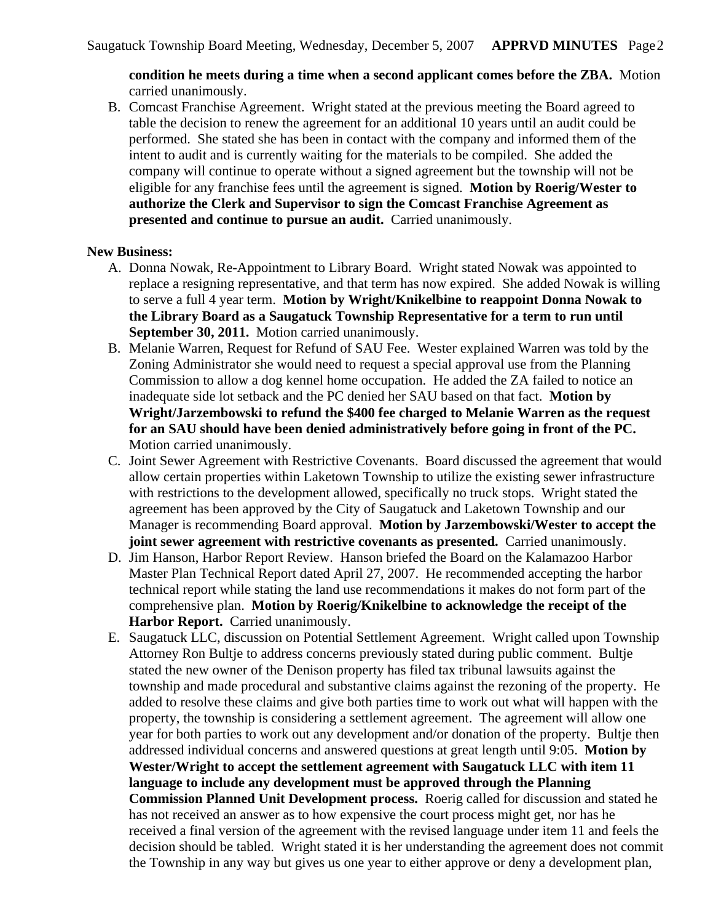### **condition he meets during a time when a second applicant comes before the ZBA.** Motion carried unanimously.

B. Comcast Franchise Agreement. Wright stated at the previous meeting the Board agreed to table the decision to renew the agreement for an additional 10 years until an audit could be performed. She stated she has been in contact with the company and informed them of the intent to audit and is currently waiting for the materials to be compiled. She added the company will continue to operate without a signed agreement but the township will not be eligible for any franchise fees until the agreement is signed. **Motion by Roerig/Wester to authorize the Clerk and Supervisor to sign the Comcast Franchise Agreement as presented and continue to pursue an audit.** Carried unanimously.

#### **New Business:**

- A. Donna Nowak, Re-Appointment to Library Board. Wright stated Nowak was appointed to replace a resigning representative, and that term has now expired. She added Nowak is willing to serve a full 4 year term. **Motion by Wright/Knikelbine to reappoint Donna Nowak to the Library Board as a Saugatuck Township Representative for a term to run until September 30, 2011.** Motion carried unanimously.
- B. Melanie Warren, Request for Refund of SAU Fee. Wester explained Warren was told by the Zoning Administrator she would need to request a special approval use from the Planning Commission to allow a dog kennel home occupation. He added the ZA failed to notice an inadequate side lot setback and the PC denied her SAU based on that fact. **Motion by Wright/Jarzembowski to refund the \$400 fee charged to Melanie Warren as the request for an SAU should have been denied administratively before going in front of the PC.** Motion carried unanimously.
- C. Joint Sewer Agreement with Restrictive Covenants. Board discussed the agreement that would allow certain properties within Laketown Township to utilize the existing sewer infrastructure with restrictions to the development allowed, specifically no truck stops. Wright stated the agreement has been approved by the City of Saugatuck and Laketown Township and our Manager is recommending Board approval. **Motion by Jarzembowski/Wester to accept the joint sewer agreement with restrictive covenants as presented.** Carried unanimously.
- D. Jim Hanson, Harbor Report Review. Hanson briefed the Board on the Kalamazoo Harbor Master Plan Technical Report dated April 27, 2007. He recommended accepting the harbor technical report while stating the land use recommendations it makes do not form part of the comprehensive plan. **Motion by Roerig/Knikelbine to acknowledge the receipt of the**  Harbor Report. Carried unanimously.
- E. Saugatuck LLC, discussion on Potential Settlement Agreement. Wright called upon Township Attorney Ron Bultje to address concerns previously stated during public comment. Bultje stated the new owner of the Denison property has filed tax tribunal lawsuits against the township and made procedural and substantive claims against the rezoning of the property. He added to resolve these claims and give both parties time to work out what will happen with the property, the township is considering a settlement agreement. The agreement will allow one year for both parties to work out any development and/or donation of the property. Bultje then addressed individual concerns and answered questions at great length until 9:05. **Motion by Wester/Wright to accept the settlement agreement with Saugatuck LLC with item 11 language to include any development must be approved through the Planning Commission Planned Unit Development process.** Roerig called for discussion and stated he has not received an answer as to how expensive the court process might get, nor has he received a final version of the agreement with the revised language under item 11 and feels the decision should be tabled. Wright stated it is her understanding the agreement does not commit the Township in any way but gives us one year to either approve or deny a development plan,